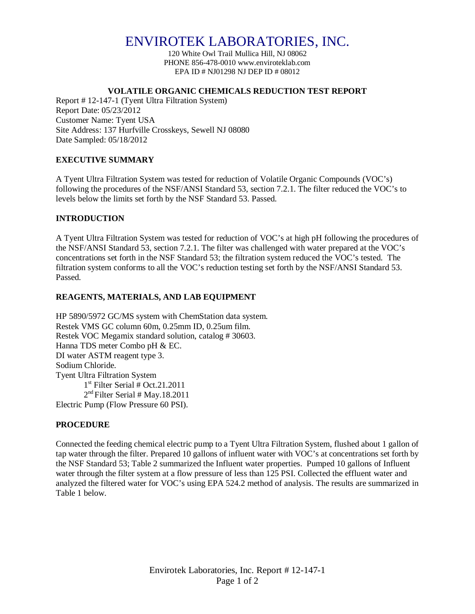# ENVIROTEK LABORATORIES, INC.

120 White Owl Trail Mullica Hill, NJ 08062 PHONE 856-478-0010 www.enviroteklab.com EPA ID # NJ01298 NJ DEP ID # 08012

#### **VOLATILE ORGANIC CHEMICALS REDUCTION TEST REPORT**

Report # 12-147-1 (Tyent Ultra Filtration System) Report Date: 05/23/2012 Customer Name: Tyent USA Site Address: 137 Hurfville Crosskeys, Sewell NJ 08080 Date Sampled: 05/18/2012

# **EXECUTIVE SUMMARY**

A Tyent Ultra Filtration System was tested for reduction of Volatile Organic Compounds (VOC's) following the procedures of the NSF/ANSI Standard 53, section 7.2.1. The filter reduced the VOC's to levels below the limits set forth by the NSF Standard 53. Passed.

## **INTRODUCTION**

A Tyent Ultra Filtration System was tested for reduction of VOC's at high pH following the procedures of the NSF/ANSI Standard 53, section 7.2.1. The filter was challenged with water prepared at the VOC's concentrations set forth in the NSF Standard 53; the filtration system reduced the VOC's tested. The filtration system conforms to all the VOC's reduction testing set forth by the NSF/ANSI Standard 53. Passed.

## **REAGENTS, MATERIALS, AND LAB EQUIPMENT**

HP 5890/5972 GC/MS system with ChemStation data system. Restek VMS GC column 60m, 0.25mm ID, 0.25um film. Restek VOC Megamix standard solution, catalog # 30603. Hanna TDS meter Combo pH & EC. DI water ASTM reagent type 3. Sodium Chloride. Tyent Ultra Filtration System 1 st Filter Serial # Oct.21.2011 2 nd Filter Serial # May.18.2011 Electric Pump (Flow Pressure 60 PSI).

# **PROCEDURE**

Connected the feeding chemical electric pump to a Tyent Ultra Filtration System, flushed about 1 gallon of tap water through the filter. Prepared 10 gallons of influent water with VOC's at concentrations set forth by the NSF Standard 53; Table 2 summarized the Influent water properties. Pumped 10 gallons of Influent water through the filter system at a flow pressure of less than 125 PSI. Collected the effluent water and analyzed the filtered water for VOC's using EPA 524.2 method of analysis. The results are summarized in Table 1 below.